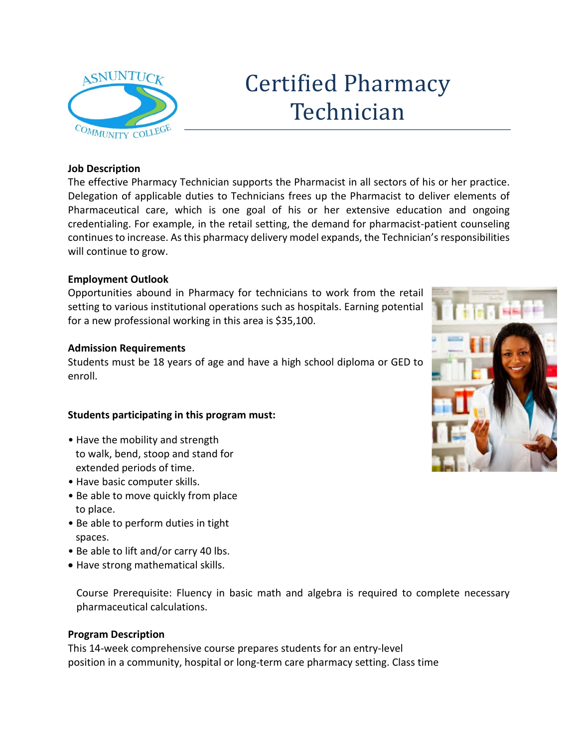

# Certified Pharmacy Technician

## **Job Description**

The effective Pharmacy Technician supports the Pharmacist in all sectors of his or her practice. Delegation of applicable duties to Technicians frees up the Pharmacist to deliver elements of Pharmaceutical care, which is one goal of his or her extensive education and ongoing credentialing. For example, in the retail setting, the demand for pharmacist-patient counseling continues to increase. As this pharmacy delivery model expands, the Technician's responsibilities will continue to grow.

## **Employment Outlook**

Opportunities abound in Pharmacy for technicians to work from the retail setting to various institutional operations such as hospitals. Earning potential for a new professional working in this area is \$35,100.

## **Admission Requirements**

Students must be 18 years of age and have a high school diploma or GED to enroll.

## **Students participating in this program must:**

- Have the mobility and strength to walk, bend, stoop and stand for extended periods of time.
- Have basic computer skills.
- Be able to move quickly from place to place.
- Be able to perform duties in tight spaces.
- Be able to lift and/or carry 40 lbs.
- Have strong mathematical skills.

Course Prerequisite: Fluency in basic math and algebra is required to complete necessary pharmaceutical calculations.

#### **Program Description**

This 14-week comprehensive course prepares students for an entry-level position in a community, hospital or long-term care pharmacy setting. Class time

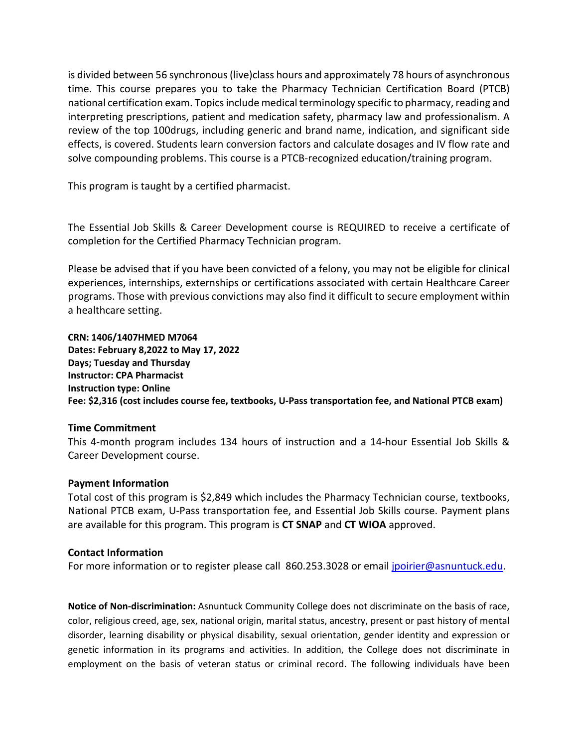is divided between 56 synchronous (live)class hours and approximately 78 hours of asynchronous time. This course prepares you to take the Pharmacy Technician Certification Board (PTCB) national certification exam. Topics include medical terminology specific to pharmacy, reading and interpreting prescriptions, patient and medication safety, pharmacy law and professionalism. A review of the top 100drugs, including generic and brand name, indication, and significant side effects, is covered. Students learn conversion factors and calculate dosages and IV flow rate and solve compounding problems. This course is a PTCB-recognized education/training program.

This program is taught by a certified pharmacist.

The Essential Job Skills & Career Development course is REQUIRED to receive a certificate of completion for the Certified Pharmacy Technician program.

Please be advised that if you have been convicted of a felony, you may not be eligible for clinical experiences, internships, externships or certifications associated with certain Healthcare Career programs. Those with previous convictions may also find it difficult to secure employment within a healthcare setting.

**CRN: 1406/1407HMED M7064 Dates: February 8,2022 to May 17, 2022 Days; Tuesday and Thursday Instructor: CPA Pharmacist Instruction type: Online Fee: \$2,316 (cost includes course fee, textbooks, U-Pass transportation fee, and National PTCB exam)**

#### **Time Commitment**

This 4-month program includes 134 hours of instruction and a 14-hour Essential Job Skills & Career Development course.

#### **Payment Information**

Total cost of this program is \$2,849 which includes the Pharmacy Technician course, textbooks, National PTCB exam, U-Pass transportation fee, and Essential Job Skills course. Payment plans are available for this program. This program is **CT SNAP** and **CT WIOA** approved.

#### **Contact Information**

For more information or to register please call 860.253.3028 or email [jpoirier@asnuntuck.edu.](mailto:jpoirier@asnuntuck.edu)

**Notice of Non-discrimination:** Asnuntuck Community College does not discriminate on the basis of race, color, religious creed, age, sex, national origin, marital status, ancestry, present or past history of mental disorder, learning disability or physical disability, sexual orientation, gender identity and expression or genetic information in its programs and activities. In addition, the College does not discriminate in employment on the basis of veteran status or criminal record. The following individuals have been